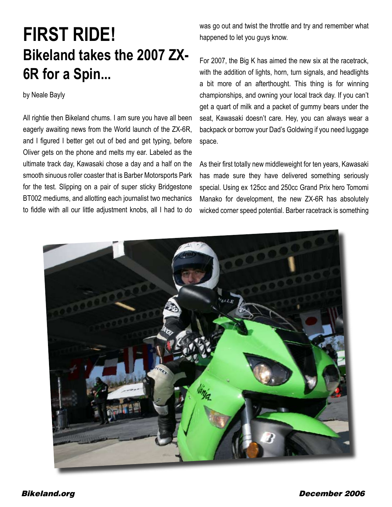## **FIRST RIDE! Bikeland takes the 2007 ZX-6R for a Spin...**

by Neale Bayly

All rightie then Bikeland chums. I am sure you have all been eagerly awaiting news from the World launch of the ZX-6R, and I figured I better get out of bed and get typing, before Oliver gets on the phone and melts my ear. Labeled as the ultimate track day, Kawasaki chose a day and a half on the smooth sinuous roller coaster that is Barber Motorsports Park for the test. Slipping on a pair of super sticky Bridgestone BT002 mediums, and allotting each journalist two mechanics to fiddle with all our little adjustment knobs, all I had to do was go out and twist the throttle and try and remember what happened to let you guys know.

For 2007, the Big K has aimed the new six at the racetrack, with the addition of lights, horn, turn signals, and headlights a bit more of an afterthought. This thing is for winning championships, and owning your local track day. If you can't get a quart of milk and a packet of gummy bears under the seat, Kawasaki doesn't care. Hey, you can always wear a backpack or borrow your Dad's Goldwing if you need luggage space.

As their first totally new middleweight for ten years, Kawasaki has made sure they have delivered something seriously special. Using ex 125cc and 250cc Grand Prix hero Tomomi Manako for development, the new ZX-6R has absolutely wicked corner speed potential. Barber racetrack is something

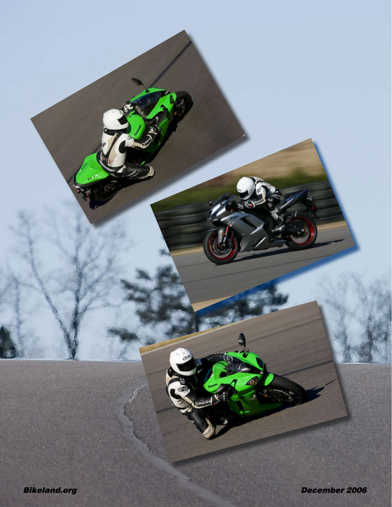